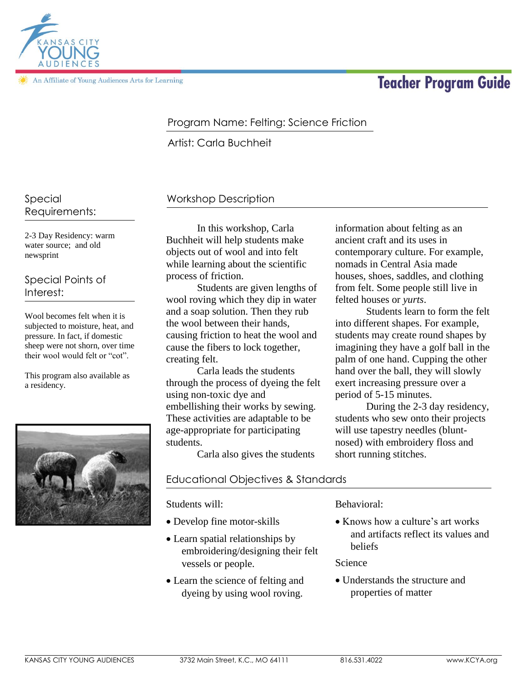

An Affiliate of Young Audiences Arts for Learning

# **Teacher Program Guide**

### Program Name: Felting: Science Friction

Artist: Carla Buchheit

#### Special Requirements:

2-3 Day Residency: warm water source; and old newsprint

#### Special Points of Interest:

Wool becomes felt when it is subjected to moisture, heat, and pressure. In fact, if domestic sheep were not shorn, over time their wool would felt or "cot".

This program also available as a residency.



## Workshop Description

In this workshop, Carla Buchheit will help students make objects out of wool and into felt while learning about the scientific process of friction.

Students are given lengths of wool roving which they dip in water and a soap solution. Then they rub the wool between their hands, causing friction to heat the wool and cause the fibers to lock together, creating felt.

Carla leads the students through the process of dyeing the felt using non-toxic dye and embellishing their works by sewing. These activities are adaptable to be age-appropriate for participating students.

Carla also gives the students

#### Educational Objectives & Standards

Students will:

- Develop fine motor-skills
- Learn spatial relationships by embroidering/designing their felt vessels or people.
- Learn the science of felting and dyeing by using wool roving.

Behavioral:

• Knows how a culture's art works and artifacts reflect its values and beliefs

Science

 Understands the structure and properties of matter

information about felting as an ancient craft and its uses in contemporary culture. For example, nomads in Central Asia made houses, shoes, saddles, and clothing from felt. Some people still live in felted houses or *yurts*.

Students learn to form the felt into different shapes. For example, students may create round shapes by imagining they have a golf ball in the palm of one hand. Cupping the other hand over the ball, they will slowly exert increasing pressure over a period of 5-15 minutes.

During the 2-3 day residency, students who sew onto their projects will use tapestry needles (bluntnosed) with embroidery floss and short running stitches.